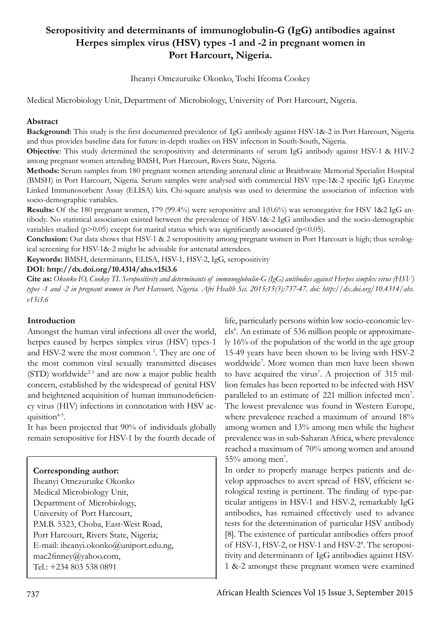# **Seropositivity and determinants of immunoglobulin-G (IgG) antibodies against Herpes simplex virus (HSV) types -1 and -2 in pregnant women in Port Harcourt, Nigeria.**

Iheanyi Omezuruike Okonko, Tochi Ifeoma Cookey

Medical Microbiology Unit, Department of Microbiology, University of Port Harcourt, Nigeria.

#### **Abstract**

**Background:** This study is the first documented prevalence of IgG antibody against HSV-1&-2 in Port Harcourt, Nigeria and thus provides baseline data for future in-depth studies on HSV infection in South-South, Nigeria.

**Objective**: This study determined the seropositivity and determinants of serum IgG antibody against HSV-1 & HIV-2 among pregnant women attending BMSH, Port Harcourt, Rivers State, Nigeria.

**Methods:** Serum samples from 180 pregnant women attending antenatal clinic at Braithwaite Memorial Specialist Hospital (BMSH) in Port Harcourt, Nigeria. Serum samples were analysed with commercial HSV type-1&-2 specific IgG Enzyme Linked Immunosorbent Assay (ELISA) kits. Chi-square analysis was used to determine the association of infection with socio-demographic variables.

**Results:** Of the 180 pregnant women, 179 (99.4%) were seropositive and 1(0.6%) was seronegative for HSV 1&2 IgG antibody. No statistical association existed between the prevalence of HSV-1&-2 IgG antibodies and the socio-demographic variables studied ( $p$ >0.05) except for marital status which was significantly associated ( $p$ <0.05).

**Conclusion:** Our data shows that HSV-1 & 2 seropositivity among pregnant women in Port Harcourt is high; thus serological screening for HSV-1&-2 might be advisable for antenatal attendees.

**Keywords:** BMSH, determinants, ELISA, HSV-1, HSV-2, IgG, seropositivity

#### **DOI: http://dx.doi.org/10.4314/ahs.v15i3.6**

**Cite as:** *Okonko IO, Cookey TI. Seropositivity and determinants of immunoglobulin-G (IgG) antibodies against Herpes simplex virus (HSV) types -1 and -2 in pregnant women in Port Harcourt, Nigeria. Afri Health Sci. 2015;15(3):737-47. doi: http://dx.doi.org/10.4314/ahs. v15i3.6*

#### **Introduction**

Amongst the human viral infections all over the world, herpes caused by herpes simplex virus (HSV) types-1 and HSV-2 were the most common<sup>1</sup>. They are one of the most common viral sexually transmitted diseases  $(STD)$  worldwide<sup>2-3</sup> and are now a major public health concern, established by the widespread of genital HSV and heightened acquisition of human immunodeficiency virus (HIV) infections in connotation with HSV acquisition $4-5$ .

It has been projected that 90% of individuals globally remain seropositive for HSV-1 by the fourth decade of

## **Corresponding author:**

Iheanyi Omezuruike Okonko Medical Microbiology Unit, Department of Microbiology, University of Port Harcourt, P.M.B. 5323, Choba, East-West Road, Port Harcourt, Rivers State, Nigeria; E-mail: iheanyi.okonko@uniport.edu.ng, mac2finney@yahoo.com, Tel.: +234 803 538 0891

life, particularly persons within low socio-economic levels<sup>6</sup>. An estimate of 536 million people or approximately 16% of the population of the world in the age group 15-49 years have been shown to be living with HSV-2 worldwide<sup>7</sup> . More women than men have been shown to have acquired the virus<sup>7</sup>. A projection of 315 million females has been reported to be infected with HSV paralleled to an estimate of 221 million infected men<sup>7</sup>. The lowest prevalence was found in Western Europe, where prevalence reached a maximum of around 18% among women and 13% among men while the highest prevalence was in sub-Saharan Africa, where prevalence reached a maximum of 70% among women and around 55% among men<sup>7</sup>.

In order to properly manage herpes patients and develop approaches to avert spread of HSV, efficient serological testing is pertinent. The finding of type-particular antigens in HSV-1 and HSV-2, remarkably IgG antibodies, has remained effectively used to advance tests for the determination of particular HSV antibody [8]. The existence of particular antibodies offers proof of HSV-1, HSV-2, or HSV-1 and HSV-2<sup>8</sup>. The seropositivity and determinants of IgG antibodies against HSV-1 &-2 amongst these pregnant women were examined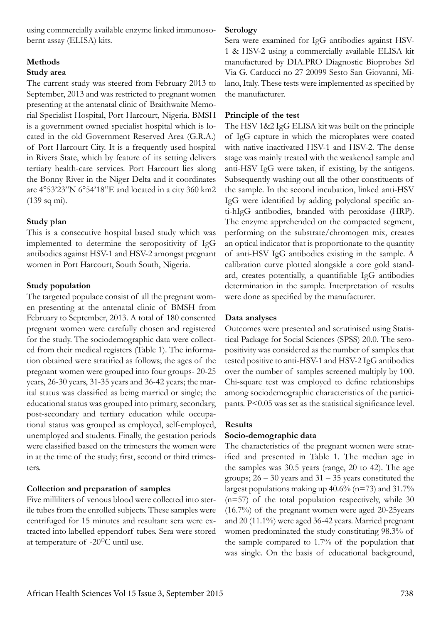using commercially available enzyme linked immunosobernt assay (ELISA) kits.

## **Methods**

#### **Study area**

The current study was steered from February 2013 to September, 2013 and was restricted to pregnant women presenting at the antenatal clinic of Braithwaite Memorial Specialist Hospital, Port Harcourt, Nigeria. BMSH is a government owned specialist hospital which is located in the old Government Reserved Area (G.R.A.) of Port Harcourt City. It is a frequently used hospital in Rivers State, which by feature of its setting delivers tertiary health-care services. Port Harcourt lies along the Bonny River in the Niger Delta and it coordinates are 4°53'23"N 6°54'18"E and located in a city 360 km2 (139 sq mi).

## **Study plan**

This is a consecutive hospital based study which was implemented to determine the seropositivity of IgG antibodies against HSV-1 and HSV-2 amongst pregnant women in Port Harcourt, South South, Nigeria.

## **Study population**

The targeted populace consist of all the pregnant women presenting at the antenatal clinic of BMSH from February to September, 2013. A total of 180 consented pregnant women were carefully chosen and registered for the study. The sociodemographic data were collected from their medical registers (Table 1). The information obtained were stratified as follows; the ages of the pregnant women were grouped into four groups- 20-25 years, 26-30 years, 31-35 years and 36-42 years; the marital status was classified as being married or single; the educational status was grouped into primary, secondary, post-secondary and tertiary education while occupational status was grouped as employed, self-employed, unemployed and students. Finally, the gestation periods were classified based on the trimesters the women were in at the time of the study; first, second or third trimesters.

## **Collection and preparation of samples**

Five milliliters of venous blood were collected into sterile tubes from the enrolled subjects. These samples were centrifuged for 15 minutes and resultant sera were extracted into labelled eppendorf tubes. Sera were stored at temperature of -20<sup>o</sup>C until use.

#### **Serology**

Sera were examined for IgG antibodies against HSV-1 & HSV-2 using a commercially available ELISA kit manufactured by DIA.PRO Diagnostic Bioprobes Srl Via G. Carducci no 27 20099 Sesto San Giovanni, Milano, Italy. These tests were implemented as specified by the manufacturer.

## **Principle of the test**

The HSV 1&2 IgG ELISA kit was built on the principle of IgG capture in which the microplates were coated with native inactivated HSV-1 and HSV-2. The dense stage was mainly treated with the weakened sample and anti-HSV IgG were taken, if existing, by the antigens. Subsequently washing out all the other constituents of the sample. In the second incubation, linked anti-HSV IgG were identified by adding polyclonal specific anti-hIgG antibodies, branded with peroxidase (HRP). The enzyme apprehended on the compacted segment, performing on the substrate/chromogen mix, creates an optical indicator that is proportionate to the quantity of anti-HSV IgG antibodies existing in the sample. A calibration curve plotted alongside a core gold standard, creates potentially, a quantifiable IgG antibodies determination in the sample. Interpretation of results were done as specified by the manufacturer.

## **Data analyses**

Outcomes were presented and scrutinised using Statistical Package for Social Sciences (SPSS) 20.0. The seropositivity was considered as the number of samples that tested positive to anti-HSV-1 and HSV-2 IgG antibodies over the number of samples screened multiply by 100. Chi-square test was employed to define relationships among sociodemographic characteristics of the participants. P<0.05 was set as the statistical significance level.

#### **Results**

#### **Socio-demographic data**

The characteristics of the pregnant women were stratified and presented in Table 1. The median age in the samples was 30.5 years (range, 20 to 42). The age groups; 26 – 30 years and 31 – 35 years constituted the largest populations making up  $40.6\%$  (n=73) and 31.7%  $(n=57)$  of the total population respectively, while 30 (16.7%) of the pregnant women were aged 20-25years and 20 (11.1%) were aged 36-42 years. Married pregnant women predominated the study constituting 98.3% of the sample compared to 1.7% of the population that was single. On the basis of educational background,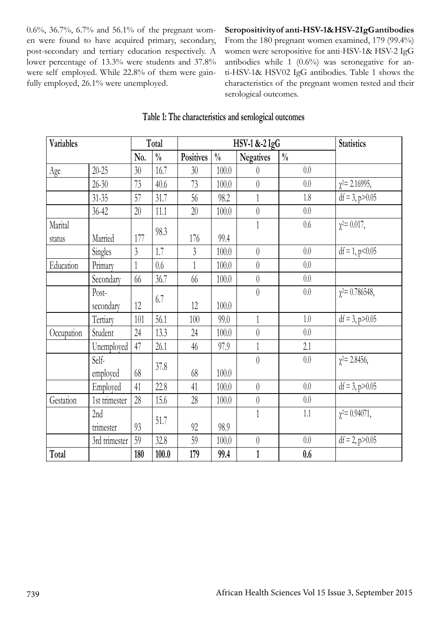0.6%, 36.7%, 6.7% and 56.1% of the pregnant women were found to have acquired primary, secondary, post-secondary and tertiary education respectively. A lower percentage of 13.3% were students and 37.8% were self employed. While 22.8% of them were gainfully employed, 26.1% were unemployed.

#### **Seropositivity of anti-HSV-1& HSV-2 IgG antibodies**

From the 180 pregnant women examined, 179 (99.4%) women were seropositive for anti-HSV-1& HSV-2 IgG antibodies while 1 (0.6%) was seronegative for anti-HSV-1& HSV02 IgG antibodies. Table 1 shows the characteristics of the pregnant women tested and their serological outcomes.

| <b>Variables</b> |               | Total           |               | HSV-1 &-2 IgG    |               |                  |               | <b>Statistics</b>     |
|------------------|---------------|-----------------|---------------|------------------|---------------|------------------|---------------|-----------------------|
|                  |               | No.             | $\frac{0}{0}$ | <b>Positives</b> | $\frac{0}{0}$ | <b>Negatives</b> | $\frac{0}{0}$ |                       |
| Age              | $20 - 25$     | 30 <sup>°</sup> | 16.7          | 30               | 100.0         | $\theta$         | 0.0           |                       |
|                  | $26 - 30$     | 73              | 40.6          | 73               | 100.0         | $\theta$         | 0.0           | $\chi^2$ = 2.16995,   |
|                  | $31 - 35$     | 57              | 31.7          | $56\,$           | 98.2          | $\mathbf{1}$     | $1.8\,$       | $df = 3$ , $p > 0.05$ |
|                  | $36 - 42$     | $20\,$          | 11.1          | 20               | 100.0         | $\theta$         | 0.0           |                       |
| Marital          |               |                 | 98.3          |                  |               | $\mathbf{1}$     | $0.6\,$       | $\chi^2 = 0.017$ ,    |
| status           | Married       | 177             |               | 176              | 99.4          |                  |               |                       |
|                  | Singles       | $\overline{3}$  | 1.7           | $\overline{3}$   | 100.0         | $\theta$         | $0.0\,$       | $df = 1, p < 0.05$    |
| Education        | Primary       | 1               | 0.6           | 1                | 100.0         | $\theta$         | 0.0           |                       |
|                  | Secondary     | 66              | 36.7          | 66               | 100.0         | $\theta$         | 0.0           |                       |
|                  | Post-         |                 | 6.7           |                  |               | $\theta$         | $0.0\,$       | $\chi^2$ = 0.786548,  |
|                  | secondary     | 12              |               | 12               | 100.0         |                  |               |                       |
|                  | Tertiary      | 101             | 56.1          | 100              | 99.0          | $\mathbf{1}$     | 1.0           | $df = 3$ , $p > 0.05$ |
| Occupation       | Student       | 24              | 13.3          | 24               | 100.0         | $\theta$         | 0.0           |                       |
|                  | Unemployed    | 47              | 26.1          | 46               | 97.9          | $\mathbf{1}$     | 2.1           |                       |
|                  | Self-         |                 | 37.8          |                  |               | $\theta$         | $0.0\,$       | $\chi^2$ = 2.8456,    |
|                  | employed      | 68              |               | 68               | 100.0         |                  |               |                       |
|                  | Employed      | 41              | 22.8          | 41               | 100.0         | $\theta$         | 0.0           | $df = 3$ , $p > 0.05$ |
| Gestation        | 1st trimester | 28              | 15.6          | 28               | 100.0         | $\theta$         | 0.0           |                       |
|                  | 2nd           |                 | 51.7          |                  |               | $\mathbf{1}$     | $1.1\,$       | $\chi^2$ = 0.94071,   |
|                  | trimester     | 93              |               | 92               | 98.9          |                  |               |                       |
|                  | 3rd trimester | 59              | 32.8          | 59               | 100.0         | $\theta$         | 0.0           | $df = 2$ , $p > 0.05$ |
| Total            |               | 180             | 100.0         | 179              | 99.4          | $\mathbf{1}$     | 0.6           |                       |

## **Table 1: The characteristics and serological outcomes**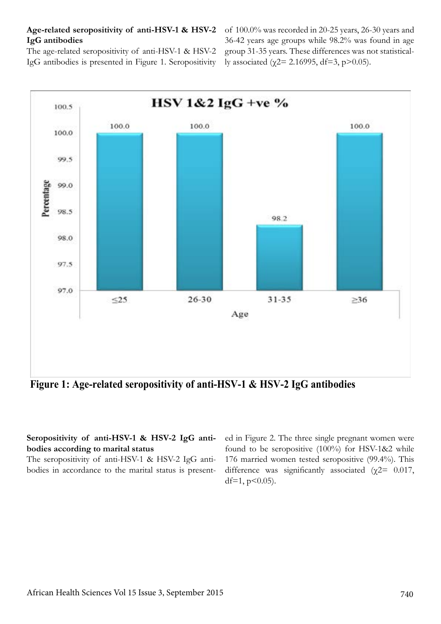#### **Age-related seropositivity of anti-HSV-1 & HSV-2**  of 100.0% was recorded in 20-25 years, 26-30 years and **IgG antibodies**

The age-related seropositivity of anti-HSV-1 & HSV-2 IgG antibodies is presented in Figure 1. Seropositivity

36-42 years age groups while 98.2% was found in age group 31-35 years. These differences was not statistically associated ( $\gamma$ 2= 2.16995, df=3, p>0.05).



**Figure 1: Age-related seropositivity of anti-HSV-1 & HSV-2 IgG antibodies**

## **Seropositivity of anti-HSV-1 & HSV-2 IgG antibodies according to marital status**

The seropositivity of anti-HSV-1 & HSV-2 IgG antibodies in accordance to the marital status is presented in Figure 2. The three single pregnant women were found to be seropositive (100%) for HSV-1&2 while 176 married women tested seropositive (99.4%). This difference was significantly associated ( $\chi$ 2= 0.017, df=1,  $p$ <0.05).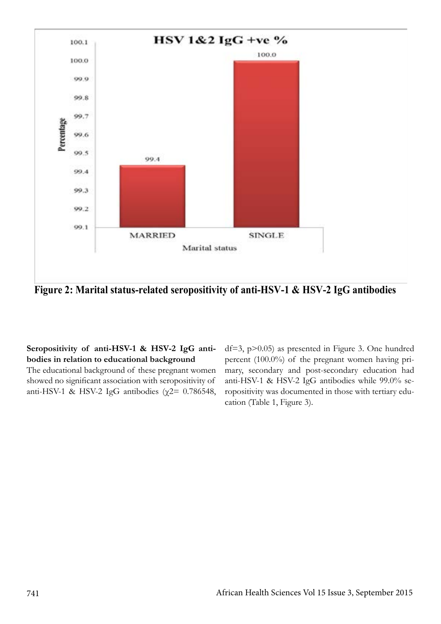

**Figure 2: Marital status-related seropositivity of anti-HSV-1 & HSV-2 IgG antibodies** 

## **Seropositivity of anti-HSV-1 & HSV-2 IgG antibodies in relation to educational background**

The educational background of these pregnant women showed no significant association with seropositivity of anti-HSV-1 & HSV-2 IgG antibodies ( $χ$ 2= 0.786548, df=3, p>0.05) as presented in Figure 3. One hundred percent (100.0%) of the pregnant women having primary, secondary and post-secondary education had anti-HSV-1 & HSV-2 IgG antibodies while 99.0% seropositivity was documented in those with tertiary education (Table 1, Figure 3).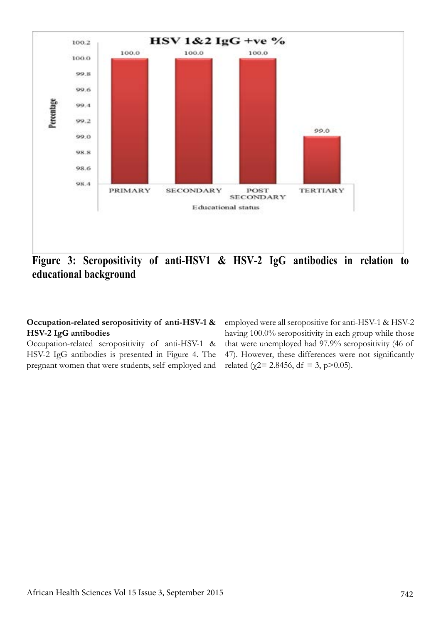

**Figure 3: Seropositivity of anti-HSV1 & HSV-2 IgG antibodies in relation to educational background**

## **Occupation-related seropositivity of anti-HSV-1 & HSV-2 IgG antibodies**

Occupation-related seropositivity of anti-HSV-1 & HSV-2 IgG antibodies is presented in Figure 4. The pregnant women that were students, self employed and employed were all seropositive for anti-HSV-1 & HSV-2 having 100.0% seropositivity in each group while those that were unemployed had 97.9% seropositivity (46 of 47). However, these differences were not significantly related ( $\chi$ 2= 2.8456, df = 3, p>0.05).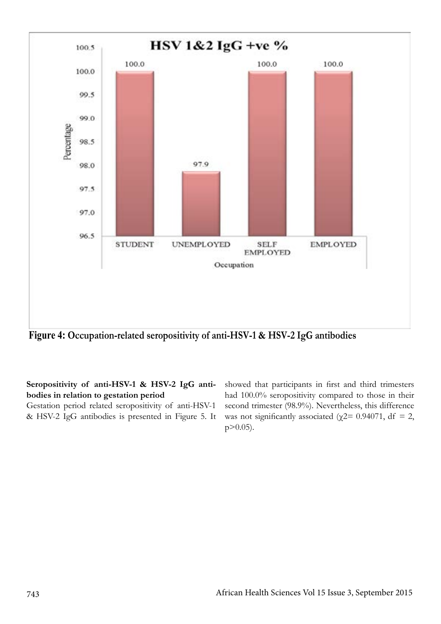

**Figure 4: Occupation-related seropositivity of anti-HSV-1 & HSV-2 IgG antibodies**

**Seropositivity of anti-HSV-1 & HSV-2 IgG antibodies in relation to gestation period** 

Gestation period related seropositivity of anti-HSV-1 & HSV-2 IgG antibodies is presented in Figure 5. It showed that participants in first and third trimesters had 100.0% seropositivity compared to those in their second trimester (98.9%). Nevertheless, this difference was not significantly associated ( $\gamma$ 2= 0.94071, df = 2, p>0.05).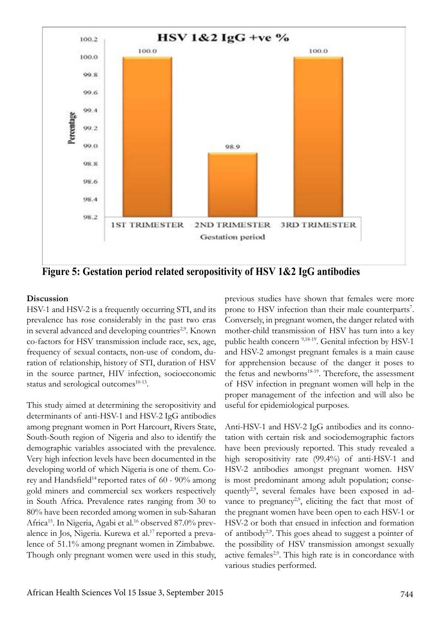

**Figure 5: Gestation period related seropositivity of HSV 1&2 IgG antibodies** 

## **Discussion**

HSV-1 and HSV-2 is a frequently occurring STI, and its prevalence has rose considerably in the past two eras in several advanced and developing countries<sup>2,9</sup>. Known co-factors for HSV transmission include race, sex, age, frequency of sexual contacts, non-use of condom, duration of relationship, history of STI, duration of HSV in the source partner, HIV infection, socioeconomic status and serological outcomes $10-13$ .

This study aimed at determining the seropositivity and determinants of anti-HSV-1 and HSV-2 IgG antibodies among pregnant women in Port Harcourt, Rivers State, South-South region of Nigeria and also to identify the demographic variables associated with the prevalence. Very high infection levels have been documented in the developing world of which Nigeria is one of them. Corey and Handsfield<sup>14</sup> reported rates of  $60 - 90\%$  among gold miners and commercial sex workers respectively in South Africa. Prevalence rates ranging from 30 to 80% have been recorded among women in sub-Saharan Africa15. In Nigeria, Agabi et al.16 observed 87.0% prevalence in Jos, Nigeria. Kurewa et al.17 reported a prevalence of 51.1% among pregnant women in Zimbabwe. Though only pregnant women were used in this study,

previous studies have shown that females were more prone to HSV infection than their male counterparts<sup>7</sup>. Conversely, in pregnant women, the danger related with mother-child transmission of HSV has turn into a key public health concern <sup>9,18-19</sup>. Genital infection by HSV-1 and HSV-2 amongst pregnant females is a main cause for apprehension because of the danger it poses to the fetus and newborns<sup>18-19</sup>. Therefore, the assessment of HSV infection in pregnant women will help in the proper management of the infection and will also be useful for epidemiological purposes.

Anti-HSV-1 and HSV-2 IgG antibodies and its connotation with certain risk and sociodemographic factors have been previously reported. This study revealed a high seropositivity rate (99.4%) of anti-HSV-1 and HSV-2 antibodies amongst pregnant women. HSV is most predominant among adult population; consequently<sup>2,9</sup>, several females have been exposed in advance to pregnancy<sup>2,9</sup>, eliciting the fact that most of the pregnant women have been open to each HSV-1 or HSV-2 or both that ensued in infection and formation of antibody<sup>2,9</sup>. This goes ahead to suggest a pointer of the possibility of HSV transmission amongst sexually active females<sup>2,9</sup>. This high rate is in concordance with various studies performed.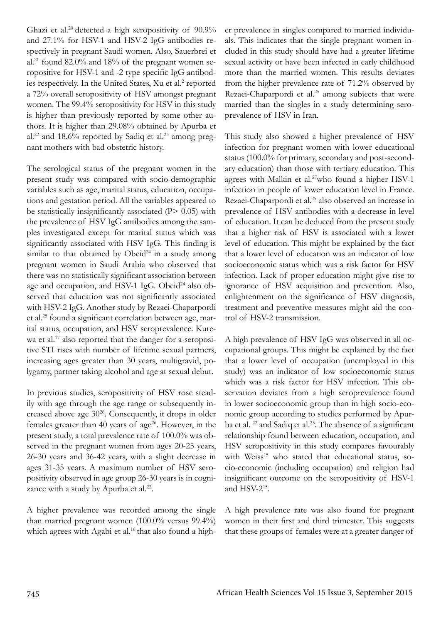Ghazi et al.<sup>20</sup> detected a high seropositivity of 90.9% and 27.1% for HSV-1 and HSV-2 IgG antibodies respectively in pregnant Saudi women. Also, Sauerbrei et al.<sup>21</sup> found 82.0% and 18% of the pregnant women seropositive for HSV-1 and -2 type specific IgG antibodies respectively. In the United States, Xu et al.<sup>2</sup> reported a 72% overall seropositivity of HSV amongst pregnant women. The 99.4% seropositivity for HSV in this study is higher than previously reported by some other authors. It is higher than 29.08% obtained by Apurba et al.<sup>22</sup> and 18.6% reported by Sadiq et al.<sup>23</sup> among pregnant mothers with bad obstetric history.

The serological status of the pregnant women in the present study was compared with socio-demographic variables such as age, marital status, education, occupations and gestation period. All the variables appeared to be statistically insignificantly associated (P> 0.05) with the prevalence of HSV IgG antibodies among the samples investigated except for marital status which was significantly associated with HSV IgG. This finding is similar to that obtained by  $Obeid<sup>24</sup>$  in a study among pregnant women in Saudi Arabia who observed that there was no statistically significant association between age and occupation, and HSV-1 IgG. Obeid<sup>24</sup> also observed that education was not significantly associated with HSV-2 IgG. Another study by Rezaei-Chaparpordi et al.25 found a significant correlation between age, marital status, occupation, and HSV seroprevalence. Kurewa et al.<sup>17</sup> also reported that the danger for a seropositive STI rises with number of lifetime sexual partners, increasing ages greater than 30 years, multigravid, polygamy, partner taking alcohol and age at sexual debut.

In previous studies, seropositivity of HSV rose steadily with age through the age range or subsequently increased above age  $30^{26}$ . Consequently, it drops in older females greater than 40 years of age<sup>26</sup>. However, in the present study, a total prevalence rate of 100.0% was observed in the pregnant women from ages 20-25 years, 26-30 years and 36-42 years, with a slight decrease in ages 31-35 years. A maximum number of HSV seropositivity observed in age group 26-30 years is in cognizance with a study by Apurba et al.<sup>22</sup>.

A higher prevalence was recorded among the single than married pregnant women (100.0% versus 99.4%) which agrees with Agabi et al.<sup>16</sup> that also found a high-

er prevalence in singles compared to married individuals. This indicates that the single pregnant women included in this study should have had a greater lifetime sexual activity or have been infected in early childhood more than the married women. This results deviates from the higher prevalence rate of 71.2% observed by Rezaei-Chaparpordi et al.<sup>25</sup> among subjects that were married than the singles in a study determining seroprevalence of HSV in Iran.

This study also showed a higher prevalence of HSV infection for pregnant women with lower educational status (100.0% for primary, secondary and post-secondary education) than those with tertiary education. This agrees with Malkin et al.<sup>27</sup>who found a higher HSV-1 infection in people of lower education level in France. Rezaei-Chaparpordi et al.<sup>25</sup> also observed an increase in prevalence of HSV antibodies with a decrease in level of education. It can be deduced from the present study that a higher risk of HSV is associated with a lower level of education. This might be explained by the fact that a lower level of education was an indicator of low socioeconomic status which was a risk factor for HSV infection. Lack of proper education might give rise to ignorance of HSV acquisition and prevention. Also, enlightenment on the significance of HSV diagnosis, treatment and preventive measures might aid the control of HSV-2 transmission.

A high prevalence of HSV IgG was observed in all occupational groups. This might be explained by the fact that a lower level of occupation (unemployed in this study) was an indicator of low socioeconomic status which was a risk factor for HSV infection. This observation deviates from a high seroprevalence found in lower socioeconomic group than in high socio-economic group according to studies performed by Apurba et al.<sup>22</sup> and Sadiq et al.<sup>23</sup>. The absence of a significant relationship found between education, occupation, and HSV seropositivity in this study compares favourably with Weiss<sup>15</sup> who stated that educational status, socio-economic (including occupation) and religion had insignificant outcome on the seropositivity of HSV-1 and HSV-215.

A high prevalence rate was also found for pregnant women in their first and third trimester. This suggests that these groups of females were at a greater danger of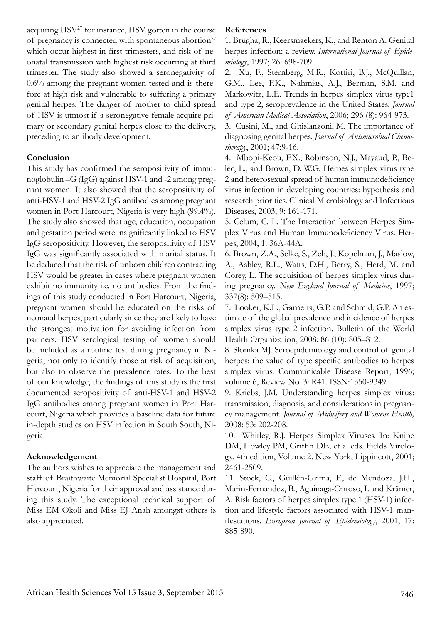acquiring  $HSV^{27}$  for instance,  $HSV$  gotten in the course of pregnancy is connected with spontaneous abortion<sup>27</sup> which occur highest in first trimesters, and risk of neonatal transmission with highest risk occurring at third trimester. The study also showed a seronegativity of 0.6% among the pregnant women tested and is therefore at high risk and vulnerable to suffering a primary genital herpes. The danger of mother to child spread of HSV is utmost if a seronegative female acquire primary or secondary genital herpes close to the delivery, preceding to antibody development.

#### **Conclusion**

This study has confirmed the seropositivity of immunoglobulin –G (IgG) against HSV-1 and -2 among pregnant women. It also showed that the seropositivity of anti-HSV-1 and HSV-2 IgG antibodies among pregnant women in Port Harcourt, Nigeria is very high (99.4%). The study also showed that age, education, occupation and gestation period were insignificantly linked to HSV IgG seropositivity. However, the seropositivity of HSV IgG was significantly associated with marital status. It be deduced that the risk of unborn children contracting HSV would be greater in cases where pregnant women exhibit no immunity i.e. no antibodies. From the findings of this study conducted in Port Harcourt, Nigeria, pregnant women should be educated on the risks of neonatal herpes, particularly since they are likely to have the strongest motivation for avoiding infection from partners. HSV serological testing of women should be included as a routine test during pregnancy in Nigeria, not only to identify those at risk of acquisition, but also to observe the prevalence rates. To the best of our knowledge, the findings of this study is the first documented seropositivity of anti-HSV-1 and HSV-2 IgG antibodies among pregnant women in Port Harcourt, Nigeria which provides a baseline data for future in-depth studies on HSV infection in South South, Nigeria.

#### **Acknowledgement**

The authors wishes to appreciate the management and staff of Braithwaite Memorial Specialist Hospital, Port Harcourt, Nigeria for their approval and assistance during this study. The exceptional technical support of Miss EM Okoli and Miss EJ Anah amongst others is also appreciated.

#### **References**

1. Brugha, R., Keersmaekers, K., and Renton A. Genital herpes infection: a review. *International Journal of Epidemiology*, 1997; 26: 698-709.

2. Xu, F., Sternberg, M.R., Kottiri, B.J., McQuillan, G.M., Lee, F.K., Nahmias, A.J., Berman, S.M. and Markowitz, L.E. Trends in herpes simplex virus type1 and type 2, seroprevalence in the United States. *Journal of American Medical Association*, 2006; 296 (8): 964-973.

3. Cusini, M., and Ghislanzoni, M. The importance of diagnosing genital herpes. *Journal of Antimicrobial Chemotherapy*, 2001; 47:9-16.

4. Mbopi-Keou, F.X., Robinson, N.J., Mayaud, P., Belec, L., and Brown, D. W.G. Herpes simplex virus type 2 and heterosexual spread of human immunodeficiency virus infection in developing countries: hypothesis and research priorities. Clinical Microbiology and Infectious Diseases, 2003; 9: 161-171.

5. Celum, C. L. The Interaction between Herpes Simplex Virus and Human Immunodeficiency Virus. Herpes, 2004; 1: 36A-44A.

6. Brown, Z.A., Selke, S., Zeh, J., Kopelman, J., Maslow, A., Ashley, R.L., Watts, D.H., Berry, S., Herd, M. and Corey, L. The acquisition of herpes simplex virus during pregnancy. *New England Journal of Medicine*, 1997; 337(8): 509–515.

7. Looker, K.L., Garnetta, G.P. and Schmid, G.P. An estimate of the global prevalence and incidence of herpes simplex virus type 2 infection. Bulletin of the World Health Organization, 2008: 86 (10): 805–812.

8. Slomka MJ. Seroepidemiology and control of genital herpes: the value of type specific antibodies to herpes simplex virus. Communicable Disease Report, 1996; volume 6, Review No. 3: R41. ISSN:1350-9349

9. Kriebs, J.M. Understanding herpes simplex virus: transmission, diagnosis, and considerations in pregnancy management. *Journal of Midwifery and Womens Health,* 2008; 53: 202-208.

10. Whitley, R.J. Herpes Simplex Viruses. In: Knipe DM, Howley PM, Griffin DE, et al eds. Fields Virology. 4th edition, Volume 2. New York, Lippincott, 2001; 2461-2509.

11. Stock, C., Guillén-Grima, F., de Mendoza, J.H., Marin-Fernandez, B., Aguinaga-Ontoso, I. and Krämer, A. Risk factors of herpes simplex type 1 (HSV-1) infection and lifestyle factors associated with HSV-1 manifestations. *European Journal of Epidemiology*, 2001; 17: 885-890.